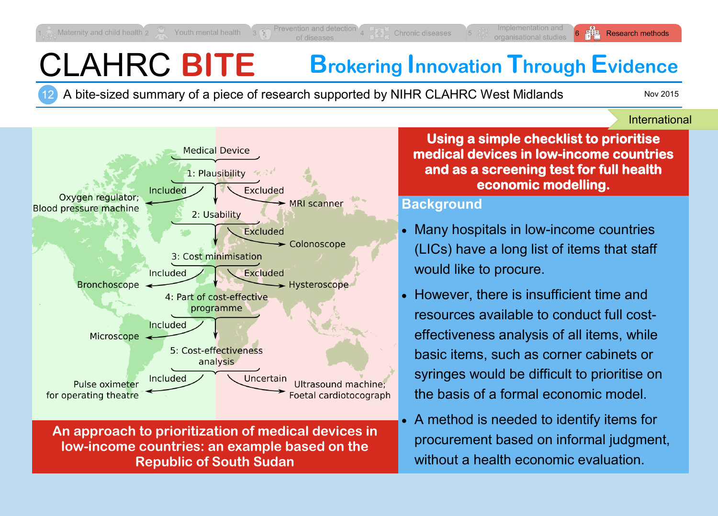# CLAHRC **BITE Brokering Innovation Through Evidence**

12 A bite-sized summary of a piece of research supported by NIHR CLAHRC West Midlands

Nov 2015

#### International



**An approach to prioritization of medical devices in low-income countries: an example based on the Republic of South Sudan** 

**Using a simple checklist to prioritise medical devices in low-income countries and as a screening test for full health economic modelling.** 

#### **Background**

- Many hospitals in low-income countries (LICs) have a long list of items that staff would like to procure.
- However, there is insufficient time and resources available to conduct full costeffectiveness analysis of all items, while basic items, such as corner cabinets or syringes would be difficult to prioritise on the basis of a formal economic model.
- A method is needed to identify items for procurement based on informal judgment, without a health economic evaluation.